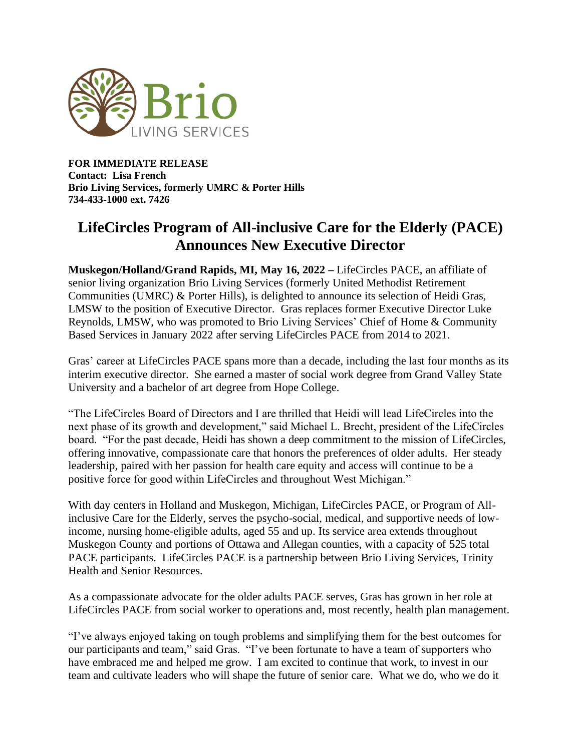

**FOR IMMEDIATE RELEASE Contact: Lisa French Brio Living Services, formerly UMRC & Porter Hills 734-433-1000 ext. 7426**

## **LifeCircles Program of All-inclusive Care for the Elderly (PACE) Announces New Executive Director**

**Muskegon/Holland/Grand Rapids, MI, May 16, 2022 –** LifeCircles PACE, an affiliate of senior living organization Brio Living Services (formerly United Methodist Retirement Communities (UMRC) & Porter Hills), is delighted to announce its selection of Heidi Gras, LMSW to the position of Executive Director. Gras replaces former Executive Director Luke Reynolds, LMSW, who was promoted to Brio Living Services' Chief of Home & Community Based Services in January 2022 after serving LifeCircles PACE from 2014 to 2021.

Gras' career at LifeCircles PACE spans more than a decade, including the last four months as its interim executive director. She earned a master of social work degree from Grand Valley State University and a bachelor of art degree from Hope College.

"The LifeCircles Board of Directors and I are thrilled that Heidi will lead LifeCircles into the next phase of its growth and development," said Michael L. Brecht, president of the LifeCircles board. "For the past decade, Heidi has shown a deep commitment to the mission of LifeCircles, offering innovative, compassionate care that honors the preferences of older adults. Her steady leadership, paired with her passion for health care equity and access will continue to be a positive force for good within LifeCircles and throughout West Michigan."

With day centers in Holland and Muskegon, Michigan, LifeCircles PACE, or Program of Allinclusive Care for the Elderly, serves the psycho-social, medical, and supportive needs of lowincome, nursing home-eligible adults, aged 55 and up. Its service area extends throughout Muskegon County and portions of Ottawa and Allegan counties, with a capacity of 525 total PACE participants. LifeCircles PACE is a partnership between Brio Living Services, Trinity Health and Senior Resources.

As a compassionate advocate for the older adults PACE serves, Gras has grown in her role at LifeCircles PACE from social worker to operations and, most recently, health plan management.

"I've always enjoyed taking on tough problems and simplifying them for the best outcomes for our participants and team," said Gras. "I've been fortunate to have a team of supporters who have embraced me and helped me grow. I am excited to continue that work, to invest in our team and cultivate leaders who will shape the future of senior care. What we do, who we do it